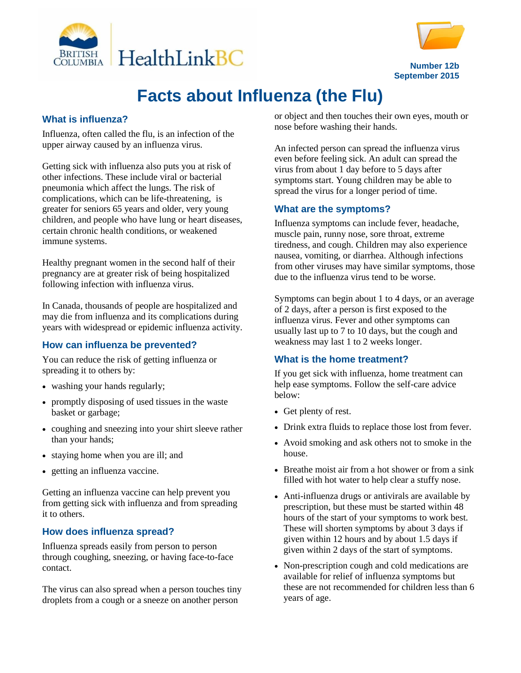



**Number 12b September 2015**

# **Facts about Influenza (the Flu)**

## **What is influenza?**

Influenza, often called the flu, is an infection of the upper airway caused by an influenza virus.

Getting sick with influenza also puts you at risk of other infections. These include viral or bacterial pneumonia which affect the lungs. The risk of complications, which can be life-threatening, is greater for seniors 65 years and older, very young children, and people who have lung or heart diseases, certain chronic health conditions, or weakened immune systems.

Healthy pregnant women in the second half of their pregnancy are at greater risk of being hospitalized following infection with influenza virus.

In Canada, thousands of people are hospitalized and may die from influenza and its complications during years with widespread or epidemic influenza activity.

## **How can influenza be prevented?**

You can reduce the risk of getting influenza or spreading it to others by:

- washing your hands regularly;
- promptly disposing of used tissues in the waste basket or garbage;
- coughing and sneezing into your shirt sleeve rather than your hands;
- staying home when you are ill; and
- getting an influenza vaccine.

Getting an influenza vaccine can help prevent you from getting sick with influenza and from spreading it to others.

# **How does influenza spread?**

Influenza spreads easily from person to person through coughing, sneezing, or having face-to-face contact.

The virus can also spread when a person touches tiny droplets from a cough or a sneeze on another person

or object and then touches their own eyes, mouth or nose before washing their hands.

An infected person can spread the influenza virus even before feeling sick. An adult can spread the virus from about 1 day before to 5 days after symptoms start. Young children may be able to spread the virus for a longer period of time.

# **What are the symptoms?**

Influenza symptoms can include fever, headache, muscle pain, runny nose, sore throat, extreme tiredness, and cough. Children may also experience nausea, vomiting, or diarrhea. Although infections from other viruses may have similar symptoms, those due to the influenza virus tend to be worse.

Symptoms can begin about 1 to 4 days, or an average of 2 days, after a person is first exposed to the influenza virus. Fever and other symptoms can usually last up to 7 to 10 days, but the cough and weakness may last 1 to 2 weeks longer.

# **What is the home treatment?**

If you get sick with influenza, home treatment can help ease symptoms. Follow the self-care advice below:

- Get plenty of rest.
- Drink extra fluids to replace those lost from fever.
- Avoid smoking and ask others not to smoke in the house.
- Breathe moist air from a hot shower or from a sink filled with hot water to help clear a stuffy nose.
- Anti-influenza drugs or antivirals are available by prescription, but these must be started within 48 hours of the start of your symptoms to work best. These will shorten symptoms by about 3 days if given within 12 hours and by about 1.5 days if given within 2 days of the start of symptoms.
- Non-prescription cough and cold medications are available for relief of influenza symptoms but these are not recommended for children less than 6 years of age.